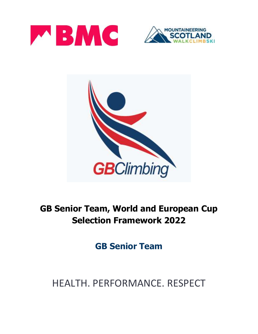





## **GB Senior Team, World and European Cup Selection Framework 2022**

**GB Senior Team**

# HEALTH. PERFORMANCE. RESPECT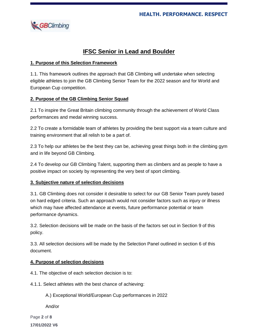

## **IFSC Senior in Lead and Boulder**

### **1. Purpose of this Selection Framework**

1.1. This framework outlines the approach that GB Climbing will undertake when selecting eligible athletes to join the GB Climbing Senior Team for the 2022 season and for World and European Cup competition.

## **2. Purpose of the GB Climbing Senior Squad**

2.1 To inspire the Great Britain climbing community through the achievement of World Class performances and medal winning success.

2.2 To create a formidable team of athletes by providing the best support via a team culture and training environment that all relish to be a part of.

2.3 To help our athletes be the best they can be, achieving great things both in the climbing gym and in life beyond GB Climbing.

2.4 To develop our GB Climbing Talent, supporting them as climbers and as people to have a positive impact on society by representing the very best of sport climbing.

#### **3. Subjective nature of selection decisions**

3.1. GB Climbing does not consider it desirable to select for our GB Senior Team purely based on hard edged criteria. Such an approach would not consider factors such as injury or illness which may have affected attendance at events, future performance potential or team performance dynamics.

3.2. Selection decisions will be made on the basis of the factors set out in Section 9 of this policy.

3.3. All selection decisions will be made by the Selection Panel outlined in section 6 of this document.

#### **4. Purpose of selection decisions**

4.1. The objective of each selection decision is to:

4.1.1. Select athletes with the best chance of achieving:

A.) Exceptional World/European Cup performances in 2022

And/or

Page **2** of **8 17/01/2022 V6**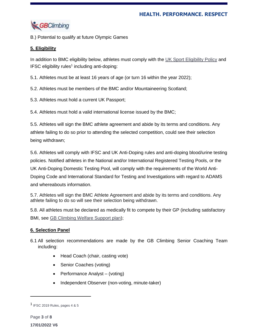

B.) Potential to qualify at future Olympic Games

## **5. Eligibility**

In addition to BMC eligibility below, athletes must comply with the UK Sport [Eligibility](https://www.uksport.gov.uk/resources/eligibility) Policy and IFSC eligibility rules<sup>1</sup> including anti-doping:

5.1. Athletes must be at least 16 years of age (or turn 16 within the year 2022);

5.2. Athletes must be members of the BMC and/or Mountaineering Scotland;

5.3. Athletes must hold a current UK Passport;

5.4. Athletes must hold a valid international license issued by the BMC;

5.5. Athletes will sign the BMC athlete agreement and abide by its terms and conditions. Any athlete failing to do so prior to attending the selected competition, could see their selection being withdrawn;

5.6. Athletes will comply with IFSC and UK Anti-Doping rules and anti-doping blood/urine testing policies. Notified athletes in the National and/or International Registered Testing Pools, or the UK Anti-Doping Domestic Testing Pool, will comply with the requirements of the World Anti-Doping Code and International Standard for Testing and Investigations with regard to ADAMS and whereabouts information.

5.7. Athletes will sign the BMC Athlete Agreement and abide by its terms and conditions. Any athlete failing to do so will see their selection being withdrawn.

5.8. All athletes must be declared as medically fit to compete by their GP (including satisfactory BMI, see GB [Climbing](https://www.thebmc.co.uk/media/files/Welfare%20Support%20Plan%20FINAL%204_2(1).pdf?_ga=2.66809454.1324444208.1615818558-81743446.1514886779) Welfare Support plan);

## **6. Selection Panel**

- 6.1 All selection recommendations are made by the GB Climbing Senior Coaching Team including:
	- Head Coach (chair, casting vote)
	- Senior Coaches (voting)
	- Performance Analyst (voting)
	- Independent Observer (non-voting, minute-taker)

 $\overline{a}$ 

<sup>1</sup> IFSC 2019 Rules, pages 4 & 5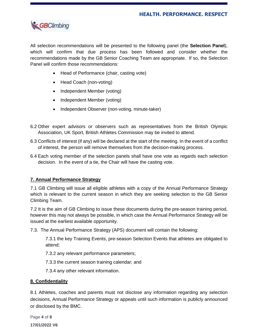

All selection recommendations will be presented to the following panel (the **Selection Panel**), which will confirm that due process has been followed and consider whether the recommendations made by the GB Senior Coaching Team are appropriate. If so, the Selection Panel will confirm those recommendations:

- Head of Performance (chair, casting vote)
- Head Coach (non-voting)
- Independent Member (voting)
- Independent Member (voting)
- Independent Observer (non-voting, minute-taker)
- 6.2 Other expert advisors or observers such as representatives from the British Olympic Association, UK Sport, British Athletes Commission may be invited to attend.
- 6.3 Conflicts of interest (if any) will be declared at the start of the meeting. In the event of a conflict of interest, the person will remove themselves from the decision-making process.
- 6.4 Each voting member of the selection panels shall have one vote as regards each selection decision. In the event of a tie, the Chair will have the casting vote.

#### **7. Annual Performance Strategy**

7.1 GB Climbing will issue all eligible athletes with a copy of the Annual Performance Strategy which is relevant to the current season in which they are seeking selection to the GB Senior Climbing Team.

7.2 It is the aim of GB Climbing to issue these documents during the pre-season training period, however this may not always be possible, in which case the Annual Performance Strategy will be issued at the earliest available opportunity.

7.3. The Annual Performance Strategy (APS) document will contain the following:

7.3.1 the key Training Events, pre-season Selection Events that athletes are obligated to attend;

7.3.2 any relevant performance parameters;

7.3.3 the current season training calendar; and

7.3.4 any other relevant information.

#### **8. Confidentiality**

8.1 Athletes, coaches and parents must not disclose any information regarding any selection decisions, Annual Performance Strategy or appeals until such information is publicly announced or disclosed by the BMC.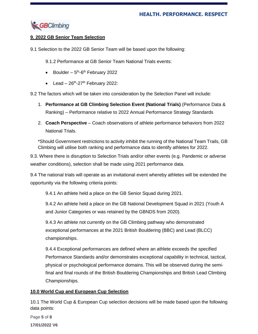

## **9. 2022 GB Senior Team Selection**

9.1 Selection to the 2022 GB Senior Team will be based upon the following:

9.1.2 Performance at GB Senior Team National Trials events:

- Boulder  $-5$ <sup>th</sup>-6<sup>th</sup> February 2022
- Lead  $-26$ <sup>th</sup>-27<sup>th</sup> February 2022:

9.2 The factors which will be taken into consideration by the Selection Panel will include:

- 1. **Performance at GB Climbing Selection Event (National Trials)** (Performance Data & Ranking) – Performance relative to 2022 Annual Performance Strategy Standards
- 2. **Coach Perspective** Coach observations of athlete performance behaviors from 2022 National Trials.

\*Should Government restrictions to activity inhibit the running of the National Team Trails, GB Climbing will utilise both ranking and performance data to identify athletes for 2022.

9.3. Where there is disruption to Selection Trials and/or other events (e.g. Pandemic or adverse weather conditions), selection shall be made using 2021 performance data.

9.4 The national trials will operate as an invitational event whereby athletes will be extended the opportunity via the following criteria points:

9.4.1 An athlete held a place on the GB Senior Squad during 2021.

9.4.2 An athlete held a place on the GB National Development Squad in 2021 (Youth A and Junior Categories or was retained by the GBNDS from 2020).

9.4.3 An athlete not currently on the GB Climbing pathway who demonstrated exceptional performances at the 2021 British Bouldering (BBC) and Lead (BLCC) championships.

9.4.4 Exceptional performances are defined where an athlete exceeds the specified Performance Standards and/or demonstrates exceptional capability in technical, tactical, physical or psychological performance domains. This will be observed during the semifinal and final rounds of the British Bouldering Championships and British Lead Climbing Championships.

#### **10.0 World Cup and European Cup Selection**

10.1 The World Cup & European Cup selection decisions will be made based upon the following data points: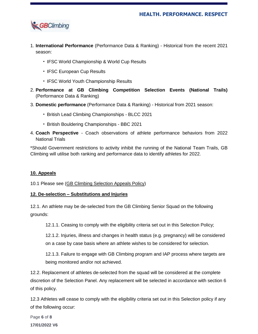

- 1. **International Performance** (Performance Data & Ranking) Historical from the recent 2021 season:
	- IFSC World Championship & World Cup Results
	- IFSC European Cup Results
	- IFSC World Youth Championship Results
- 2. **Performance at GB Climbing Competition Selection Events (National Trails)** (Performance Data & Ranking)
- 3. **Domestic performance** (Performance Data & Ranking) Historical from 2021 season:
	- British Lead Climbing Championships BLCC 2021
	- British Bouldering Championships BBC 2021
- 4. **Coach Perspective** Coach observations of athlete performance behaviors from 2022 National Trials

\*Should Government restrictions to activity inhibit the running of the National Team Trails, GB Climbing will utilise both ranking and performance data to identify athletes for 2022.

#### **10. Appeals**

10.1 Please see (GB Climbing [Selection](mailto:https://www.thebmc.co.uk/gb-climbing-selection-appeals-process) Appeals Policy)

#### **12. De-selection – Substitutions and Injuries**

12.1. An athlete may be de-selected from the GB Climbing Senior Squad on the following grounds:

12.1.1. Ceasing to comply with the eligibility criteria set out in this Selection Policy;

12.1.2. Injuries, illness and changes in health status (e.g. pregnancy) will be considered on a case by case basis where an athlete wishes to be considered for selection.

12.1.3. Failure to engage with GB Climbing program and IAP process where targets are being monitored and/or not achieved.

12.2. Replacement of athletes de-selected from the squad will be considered at the complete discretion of the Selection Panel. Any replacement will be selected in accordance with section 6 of this policy.

12.3 Athletes will cease to comply with the eligibility criteria set out in this Selection policy if any of the following occur: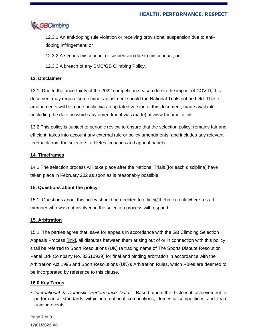

12.3.1 An anti-doping rule violation or receiving provisional suspension due to antidoping infringement; or

12.3.2 A serious misconduct or suspension due to misconduct; or

12.3.3 A breach of any BMC/GB Climbing Policy.

## **13. Disclaimer**

13.1. Due to the uncertainty of the 2022 competition season due to the impact of COVID, this document may require some minor adjustment should the National Trials not be held. These amendments will be made public via an updated version of this document, made available (including the date on which any amendment was made) at [www.thebmc.co.uk](http://www.thebmc.co.uk/)

13.2 This policy is subject to periodic review to ensure that the selection policy: remains fair and efficient; takes into account any external rule or policy amendments; and includes any relevant feedback from the selectors, athletes, coaches and appeal panels.

## **14. Timeframes**

14.1 The selection process will take place after the National Trials (for each discipline) have taken place in February 202 as soon as is reasonably possible.

## **15. Questions about the policy**

15.1. Questions about this policy should be directed to [office@thebmc.co.uk](mailto:office@thebmc.co.uk) where a staff member who was not involved in the selection process will respond.

## **15. Arbitration**

15.1. The parties agree that, save for appeals in accordance with the GB Climbing Selection Appeals Process [\[link\]](mailto:https://www.thebmc.co.uk/gb-climbing-selection-appeals-process), all disputes between them arising out of or in connection with this policy shall be referred to Sport Resolutions (UK) (a trading name of The Sports Dispute Resolution Panel Ltd- Company No. 33510939) for final and binding arbitration in accordance with the Arbitration Act 1996 and Sport Resolutions (UK)'s Arbitration Rules, which Rules are deemed to be incorporated by reference to this clause.

#### **16.0 Key Terms**

**•** *International & Domestic Performance Data* - Based upon the historical achievement of performance standards within international competitions, domestic competitions and team training events.

Page **7** of **8 17/01/2022 V6**